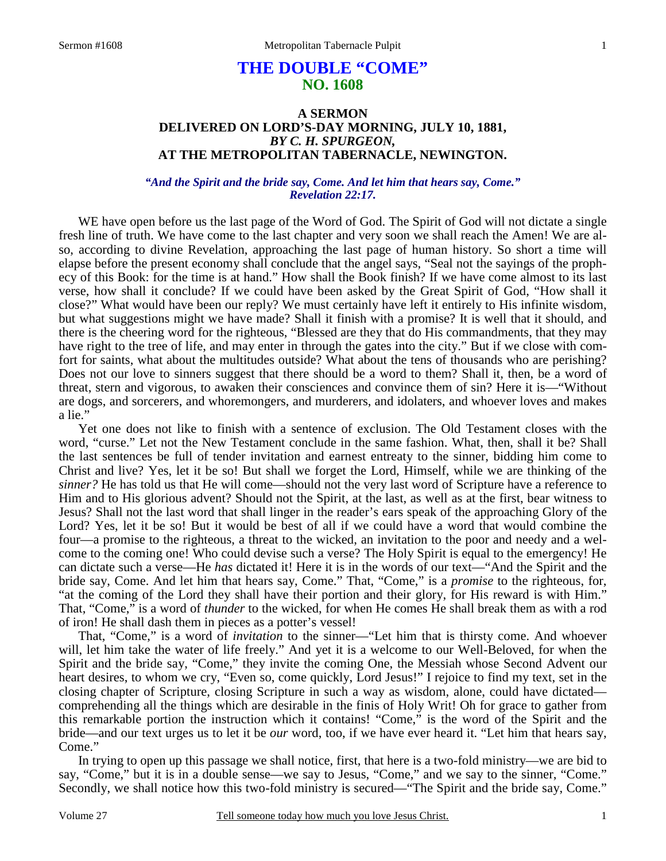# **THE DOUBLE "COME" NO. 1608**

## **A SERMON DELIVERED ON LORD'S-DAY MORNING, JULY 10, 1881,**  *BY C. H. SPURGEON,*  **AT THE METROPOLITAN TABERNACLE, NEWINGTON.**

### *"And the Spirit and the bride say, Come. And let him that hears say, Come." Revelation 22:17.*

WE have open before us the last page of the Word of God. The Spirit of God will not dictate a single fresh line of truth. We have come to the last chapter and very soon we shall reach the Amen! We are also, according to divine Revelation, approaching the last page of human history. So short a time will elapse before the present economy shall conclude that the angel says, "Seal not the sayings of the prophecy of this Book: for the time is at hand." How shall the Book finish? If we have come almost to its last verse, how shall it conclude? If we could have been asked by the Great Spirit of God, "How shall it close?" What would have been our reply? We must certainly have left it entirely to His infinite wisdom, but what suggestions might we have made? Shall it finish with a promise? It is well that it should, and there is the cheering word for the righteous, "Blessed are they that do His commandments, that they may have right to the tree of life, and may enter in through the gates into the city." But if we close with comfort for saints, what about the multitudes outside? What about the tens of thousands who are perishing? Does not our love to sinners suggest that there should be a word to them? Shall it, then, be a word of threat, stern and vigorous, to awaken their consciences and convince them of sin? Here it is—"Without are dogs, and sorcerers, and whoremongers, and murderers, and idolaters, and whoever loves and makes a lie."

 Yet one does not like to finish with a sentence of exclusion. The Old Testament closes with the word, "curse." Let not the New Testament conclude in the same fashion. What, then, shall it be? Shall the last sentences be full of tender invitation and earnest entreaty to the sinner, bidding him come to Christ and live? Yes, let it be so! But shall we forget the Lord, Himself, while we are thinking of the *sinner?* He has told us that He will come—should not the very last word of Scripture have a reference to Him and to His glorious advent? Should not the Spirit, at the last, as well as at the first, bear witness to Jesus? Shall not the last word that shall linger in the reader's ears speak of the approaching Glory of the Lord? Yes, let it be so! But it would be best of all if we could have a word that would combine the four—a promise to the righteous, a threat to the wicked, an invitation to the poor and needy and a welcome to the coming one! Who could devise such a verse? The Holy Spirit is equal to the emergency! He can dictate such a verse—He *has* dictated it! Here it is in the words of our text—"And the Spirit and the bride say, Come. And let him that hears say, Come." That, "Come," is a *promise* to the righteous, for, "at the coming of the Lord they shall have their portion and their glory, for His reward is with Him." That, "Come," is a word of *thunder* to the wicked, for when He comes He shall break them as with a rod of iron! He shall dash them in pieces as a potter's vessel!

 That, "Come," is a word of *invitation* to the sinner—"Let him that is thirsty come. And whoever will, let him take the water of life freely." And yet it is a welcome to our Well-Beloved, for when the Spirit and the bride say, "Come," they invite the coming One, the Messiah whose Second Advent our heart desires, to whom we cry, "Even so, come quickly, Lord Jesus!" I rejoice to find my text, set in the closing chapter of Scripture, closing Scripture in such a way as wisdom, alone, could have dictated comprehending all the things which are desirable in the finis of Holy Writ! Oh for grace to gather from this remarkable portion the instruction which it contains! "Come," is the word of the Spirit and the bride—and our text urges us to let it be *our* word, too, if we have ever heard it. "Let him that hears say, Come."

 In trying to open up this passage we shall notice, first, that here is a two-fold ministry—we are bid to say, "Come," but it is in a double sense—we say to Jesus, "Come," and we say to the sinner, "Come." Secondly, we shall notice how this two-fold ministry is secured—"The Spirit and the bride say, Come."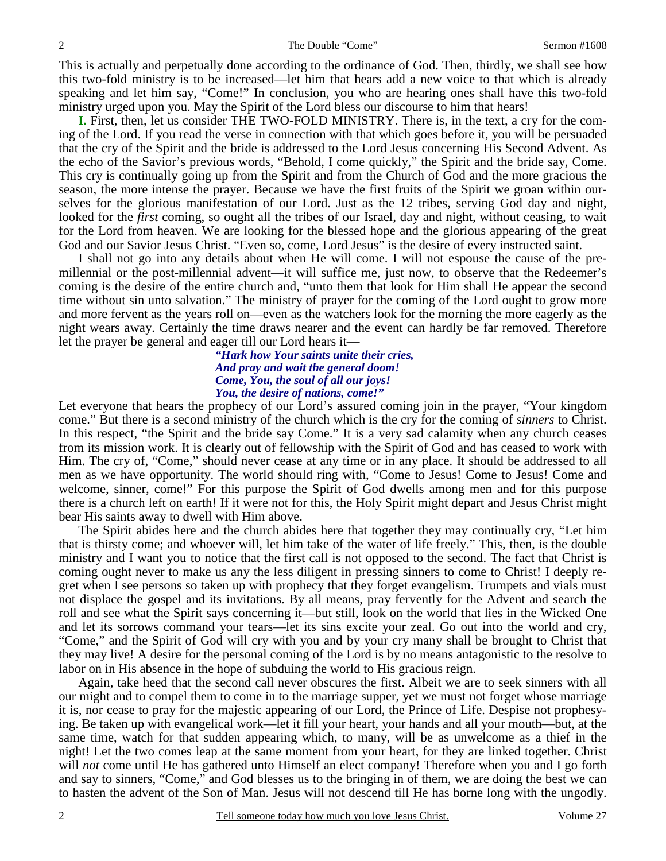This is actually and perpetually done according to the ordinance of God. Then, thirdly, we shall see how this two-fold ministry is to be increased—let him that hears add a new voice to that which is already speaking and let him say, "Come!" In conclusion, you who are hearing ones shall have this two-fold ministry urged upon you. May the Spirit of the Lord bless our discourse to him that hears!

**I.** First, then, let us consider THE TWO-FOLD MINISTRY. There is, in the text, a cry for the coming of the Lord. If you read the verse in connection with that which goes before it, you will be persuaded that the cry of the Spirit and the bride is addressed to the Lord Jesus concerning His Second Advent. As the echo of the Savior's previous words, "Behold, I come quickly," the Spirit and the bride say, Come. This cry is continually going up from the Spirit and from the Church of God and the more gracious the season, the more intense the prayer. Because we have the first fruits of the Spirit we groan within ourselves for the glorious manifestation of our Lord. Just as the 12 tribes, serving God day and night, looked for the *first* coming, so ought all the tribes of our Israel, day and night, without ceasing, to wait for the Lord from heaven. We are looking for the blessed hope and the glorious appearing of the great God and our Savior Jesus Christ. "Even so, come, Lord Jesus" is the desire of every instructed saint.

 I shall not go into any details about when He will come. I will not espouse the cause of the premillennial or the post-millennial advent—it will suffice me, just now, to observe that the Redeemer's coming is the desire of the entire church and, "unto them that look for Him shall He appear the second time without sin unto salvation." The ministry of prayer for the coming of the Lord ought to grow more and more fervent as the years roll on—even as the watchers look for the morning the more eagerly as the night wears away. Certainly the time draws nearer and the event can hardly be far removed. Therefore let the prayer be general and eager till our Lord hears it—

### *"Hark how Your saints unite their cries, And pray and wait the general doom! Come, You, the soul of all our joys! You, the desire of nations, come!"*

Let everyone that hears the prophecy of our Lord's assured coming join in the prayer, "Your kingdom come." But there is a second ministry of the church which is the cry for the coming of *sinners* to Christ. In this respect, "the Spirit and the bride say Come." It is a very sad calamity when any church ceases from its mission work. It is clearly out of fellowship with the Spirit of God and has ceased to work with Him. The cry of, "Come," should never cease at any time or in any place. It should be addressed to all men as we have opportunity. The world should ring with, "Come to Jesus! Come to Jesus! Come and welcome, sinner, come!" For this purpose the Spirit of God dwells among men and for this purpose there is a church left on earth! If it were not for this, the Holy Spirit might depart and Jesus Christ might bear His saints away to dwell with Him above.

 The Spirit abides here and the church abides here that together they may continually cry, "Let him that is thirsty come; and whoever will, let him take of the water of life freely." This, then, is the double ministry and I want you to notice that the first call is not opposed to the second. The fact that Christ is coming ought never to make us any the less diligent in pressing sinners to come to Christ! I deeply regret when I see persons so taken up with prophecy that they forget evangelism. Trumpets and vials must not displace the gospel and its invitations. By all means, pray fervently for the Advent and search the roll and see what the Spirit says concerning it—but still, look on the world that lies in the Wicked One and let its sorrows command your tears—let its sins excite your zeal. Go out into the world and cry, "Come," and the Spirit of God will cry with you and by your cry many shall be brought to Christ that they may live! A desire for the personal coming of the Lord is by no means antagonistic to the resolve to labor on in His absence in the hope of subduing the world to His gracious reign.

 Again, take heed that the second call never obscures the first. Albeit we are to seek sinners with all our might and to compel them to come in to the marriage supper, yet we must not forget whose marriage it is, nor cease to pray for the majestic appearing of our Lord, the Prince of Life. Despise not prophesying. Be taken up with evangelical work—let it fill your heart, your hands and all your mouth—but, at the same time, watch for that sudden appearing which, to many, will be as unwelcome as a thief in the night! Let the two comes leap at the same moment from your heart, for they are linked together. Christ will *not* come until He has gathered unto Himself an elect company! Therefore when you and I go forth and say to sinners, "Come," and God blesses us to the bringing in of them, we are doing the best we can to hasten the advent of the Son of Man. Jesus will not descend till He has borne long with the ungodly.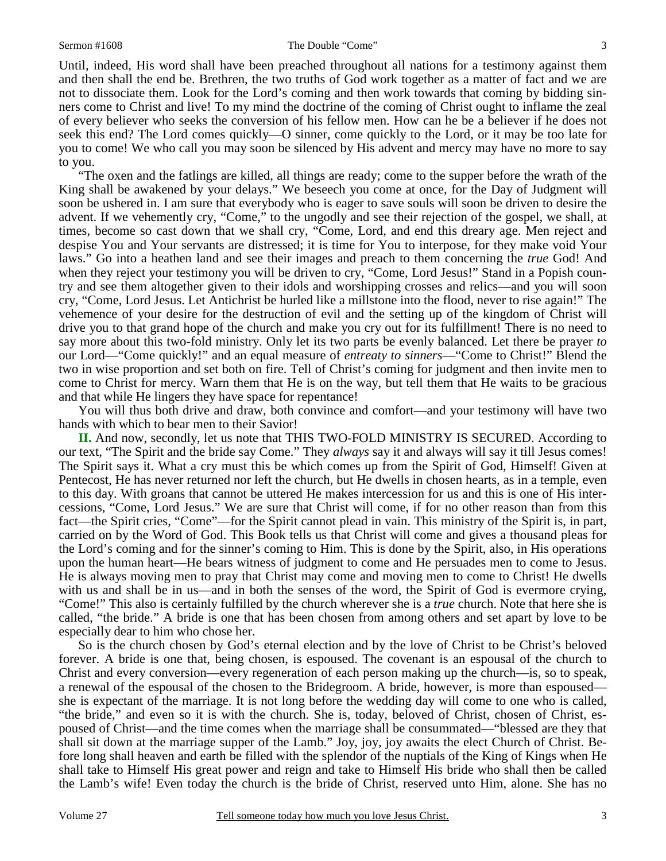Until, indeed, His word shall have been preached throughout all nations for a testimony against them and then shall the end be. Brethren, the two truths of God work together as a matter of fact and we are not to dissociate them. Look for the Lord's coming and then work towards that coming by bidding sinners come to Christ and live! To my mind the doctrine of the coming of Christ ought to inflame the zeal of every believer who seeks the conversion of his fellow men. How can he be a believer if he does not seek this end? The Lord comes quickly—O sinner, come quickly to the Lord, or it may be too late for you to come! We who call you may soon be silenced by His advent and mercy may have no more to say to you.

 "The oxen and the fatlings are killed, all things are ready; come to the supper before the wrath of the King shall be awakened by your delays." We beseech you come at once, for the Day of Judgment will soon be ushered in. I am sure that everybody who is eager to save souls will soon be driven to desire the advent. If we vehemently cry, "Come," to the ungodly and see their rejection of the gospel, we shall, at times, become so cast down that we shall cry, "Come, Lord, and end this dreary age. Men reject and despise You and Your servants are distressed; it is time for You to interpose, for they make void Your laws." Go into a heathen land and see their images and preach to them concerning the *true* God! And when they reject your testimony you will be driven to cry, "Come, Lord Jesus!" Stand in a Popish country and see them altogether given to their idols and worshipping crosses and relics—and you will soon cry, "Come, Lord Jesus. Let Antichrist be hurled like a millstone into the flood, never to rise again!" The vehemence of your desire for the destruction of evil and the setting up of the kingdom of Christ will drive you to that grand hope of the church and make you cry out for its fulfillment! There is no need to say more about this two-fold ministry. Only let its two parts be evenly balanced. Let there be prayer *to* our Lord—"Come quickly!" and an equal measure of *entreaty to sinners*—"Come to Christ!" Blend the two in wise proportion and set both on fire. Tell of Christ's coming for judgment and then invite men to come to Christ for mercy. Warn them that He is on the way, but tell them that He waits to be gracious and that while He lingers they have space for repentance!

 You will thus both drive and draw, both convince and comfort—and your testimony will have two hands with which to bear men to their Savior!

**II.** And now, secondly, let us note that THIS TWO-FOLD MINISTRY IS SECURED. According to our text, "The Spirit and the bride say Come." They *always* say it and always will say it till Jesus comes! The Spirit says it. What a cry must this be which comes up from the Spirit of God, Himself! Given at Pentecost, He has never returned nor left the church, but He dwells in chosen hearts, as in a temple, even to this day. With groans that cannot be uttered He makes intercession for us and this is one of His intercessions, "Come, Lord Jesus." We are sure that Christ will come, if for no other reason than from this fact—the Spirit cries, "Come"—for the Spirit cannot plead in vain. This ministry of the Spirit is, in part, carried on by the Word of God. This Book tells us that Christ will come and gives a thousand pleas for the Lord's coming and for the sinner's coming to Him. This is done by the Spirit, also, in His operations upon the human heart—He bears witness of judgment to come and He persuades men to come to Jesus. He is always moving men to pray that Christ may come and moving men to come to Christ! He dwells with us and shall be in us—and in both the senses of the word, the Spirit of God is evermore crying, "Come!" This also is certainly fulfilled by the church wherever she is a *true* church. Note that here she is called, "the bride." A bride is one that has been chosen from among others and set apart by love to be especially dear to him who chose her.

 So is the church chosen by God's eternal election and by the love of Christ to be Christ's beloved forever. A bride is one that, being chosen, is espoused. The covenant is an espousal of the church to Christ and every conversion—every regeneration of each person making up the church—is, so to speak, a renewal of the espousal of the chosen to the Bridegroom. A bride, however, is more than espoused she is expectant of the marriage. It is not long before the wedding day will come to one who is called, "the bride," and even so it is with the church. She is, today, beloved of Christ, chosen of Christ, espoused of Christ—and the time comes when the marriage shall be consummated—"blessed are they that shall sit down at the marriage supper of the Lamb." Joy, joy, joy awaits the elect Church of Christ. Before long shall heaven and earth be filled with the splendor of the nuptials of the King of Kings when He shall take to Himself His great power and reign and take to Himself His bride who shall then be called the Lamb's wife! Even today the church is the bride of Christ, reserved unto Him, alone. She has no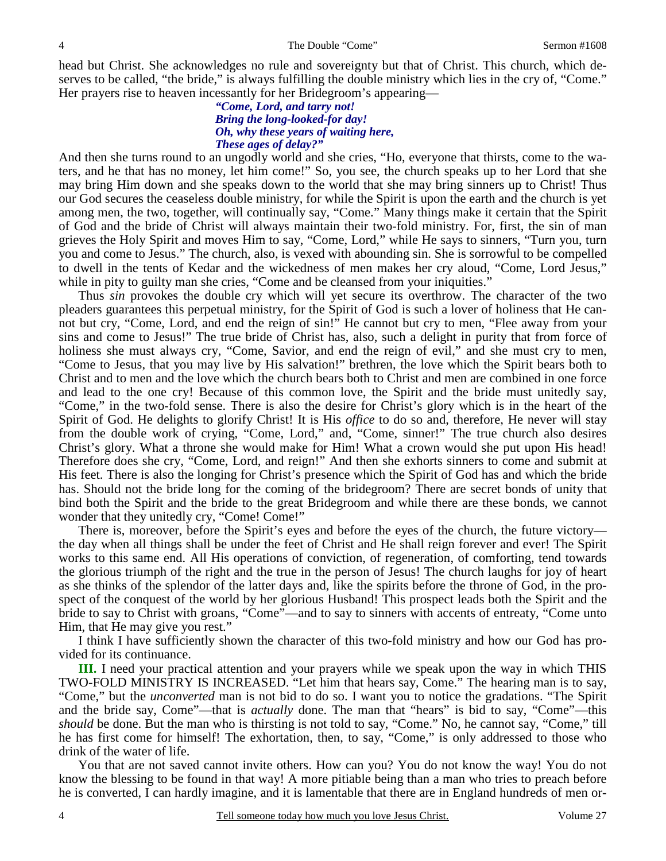head but Christ. She acknowledges no rule and sovereignty but that of Christ. This church, which deserves to be called, "the bride," is always fulfilling the double ministry which lies in the cry of, "Come." Her prayers rise to heaven incessantly for her Bridegroom's appearing—

#### *"Come, Lord, and tarry not! Bring the long-looked-for day! Oh, why these years of waiting here, These ages of delay?"*

And then she turns round to an ungodly world and she cries, "Ho, everyone that thirsts, come to the waters, and he that has no money, let him come!" So, you see, the church speaks up to her Lord that she may bring Him down and she speaks down to the world that she may bring sinners up to Christ! Thus our God secures the ceaseless double ministry, for while the Spirit is upon the earth and the church is yet among men, the two, together, will continually say, "Come." Many things make it certain that the Spirit of God and the bride of Christ will always maintain their two-fold ministry. For, first, the sin of man grieves the Holy Spirit and moves Him to say, "Come, Lord," while He says to sinners, "Turn you, turn you and come to Jesus." The church, also, is vexed with abounding sin. She is sorrowful to be compelled to dwell in the tents of Kedar and the wickedness of men makes her cry aloud, "Come, Lord Jesus," while in pity to guilty man she cries, "Come and be cleansed from your iniquities."

 Thus *sin* provokes the double cry which will yet secure its overthrow. The character of the two pleaders guarantees this perpetual ministry, for the Spirit of God is such a lover of holiness that He cannot but cry, "Come, Lord, and end the reign of sin!" He cannot but cry to men, "Flee away from your sins and come to Jesus!" The true bride of Christ has, also, such a delight in purity that from force of holiness she must always cry, "Come, Savior, and end the reign of evil," and she must cry to men, "Come to Jesus, that you may live by His salvation!" brethren, the love which the Spirit bears both to Christ and to men and the love which the church bears both to Christ and men are combined in one force and lead to the one cry! Because of this common love, the Spirit and the bride must unitedly say, "Come," in the two-fold sense. There is also the desire for Christ's glory which is in the heart of the Spirit of God. He delights to glorify Christ! It is His *office* to do so and, therefore, He never will stay from the double work of crying, "Come, Lord," and, "Come, sinner!" The true church also desires Christ's glory. What a throne she would make for Him! What a crown would she put upon His head! Therefore does she cry, "Come, Lord, and reign!" And then she exhorts sinners to come and submit at His feet. There is also the longing for Christ's presence which the Spirit of God has and which the bride has. Should not the bride long for the coming of the bridegroom? There are secret bonds of unity that bind both the Spirit and the bride to the great Bridegroom and while there are these bonds, we cannot wonder that they unitedly cry, "Come! Come!"

 There is, moreover, before the Spirit's eyes and before the eyes of the church, the future victory the day when all things shall be under the feet of Christ and He shall reign forever and ever! The Spirit works to this same end. All His operations of conviction, of regeneration, of comforting, tend towards the glorious triumph of the right and the true in the person of Jesus! The church laughs for joy of heart as she thinks of the splendor of the latter days and, like the spirits before the throne of God, in the prospect of the conquest of the world by her glorious Husband! This prospect leads both the Spirit and the bride to say to Christ with groans, "Come"—and to say to sinners with accents of entreaty, "Come unto Him, that He may give you rest."

 I think I have sufficiently shown the character of this two-fold ministry and how our God has provided for its continuance.

**III.** I need your practical attention and your prayers while we speak upon the way in which THIS TWO-FOLD MINISTRY IS INCREASED. "Let him that hears say, Come." The hearing man is to say, "Come," but the *unconverted* man is not bid to do so. I want you to notice the gradations. "The Spirit and the bride say, Come"—that is *actually* done. The man that "hears" is bid to say, "Come"—this *should* be done. But the man who is thirsting is not told to say, "Come." No, he cannot say, "Come," till he has first come for himself! The exhortation, then, to say, "Come," is only addressed to those who drink of the water of life.

 You that are not saved cannot invite others. How can you? You do not know the way! You do not know the blessing to be found in that way! A more pitiable being than a man who tries to preach before he is converted, I can hardly imagine, and it is lamentable that there are in England hundreds of men or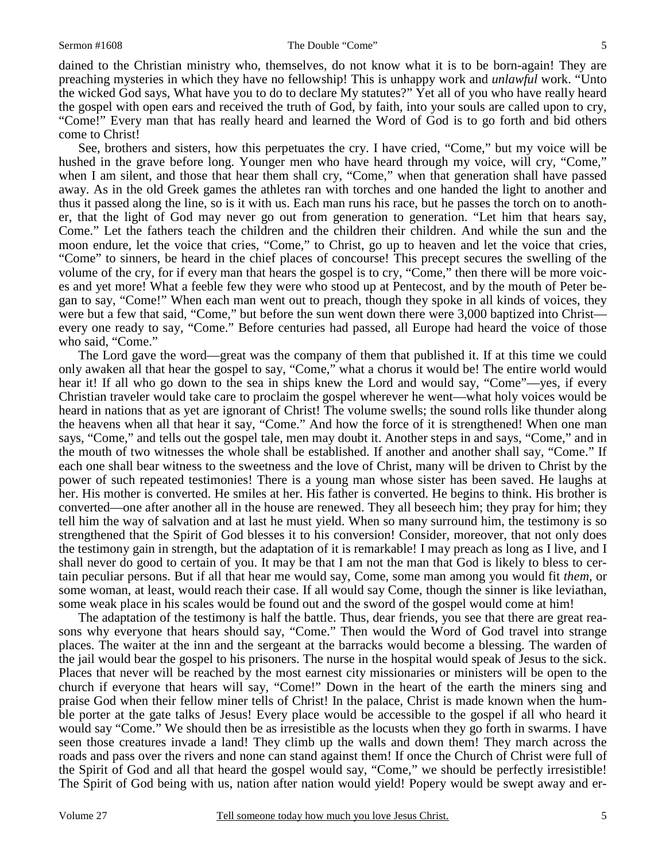dained to the Christian ministry who, themselves, do not know what it is to be born-again! They are preaching mysteries in which they have no fellowship! This is unhappy work and *unlawful* work. "Unto the wicked God says, What have you to do to declare My statutes?" Yet all of you who have really heard the gospel with open ears and received the truth of God, by faith, into your souls are called upon to cry, "Come!" Every man that has really heard and learned the Word of God is to go forth and bid others come to Christ!

 See, brothers and sisters, how this perpetuates the cry. I have cried, "Come," but my voice will be hushed in the grave before long. Younger men who have heard through my voice, will cry, "Come," when I am silent, and those that hear them shall cry, "Come," when that generation shall have passed away. As in the old Greek games the athletes ran with torches and one handed the light to another and thus it passed along the line, so is it with us. Each man runs his race, but he passes the torch on to another, that the light of God may never go out from generation to generation. "Let him that hears say, Come." Let the fathers teach the children and the children their children. And while the sun and the moon endure, let the voice that cries, "Come," to Christ, go up to heaven and let the voice that cries, "Come" to sinners, be heard in the chief places of concourse! This precept secures the swelling of the volume of the cry, for if every man that hears the gospel is to cry, "Come," then there will be more voices and yet more! What a feeble few they were who stood up at Pentecost, and by the mouth of Peter began to say, "Come!" When each man went out to preach, though they spoke in all kinds of voices, they were but a few that said, "Come," but before the sun went down there were 3,000 baptized into Christ every one ready to say, "Come." Before centuries had passed, all Europe had heard the voice of those who said, "Come."

 The Lord gave the word—great was the company of them that published it. If at this time we could only awaken all that hear the gospel to say, "Come," what a chorus it would be! The entire world would hear it! If all who go down to the sea in ships knew the Lord and would say, "Come"—yes, if every Christian traveler would take care to proclaim the gospel wherever he went—what holy voices would be heard in nations that as yet are ignorant of Christ! The volume swells; the sound rolls like thunder along the heavens when all that hear it say, "Come." And how the force of it is strengthened! When one man says, "Come," and tells out the gospel tale, men may doubt it. Another steps in and says, "Come," and in the mouth of two witnesses the whole shall be established. If another and another shall say, "Come." If each one shall bear witness to the sweetness and the love of Christ, many will be driven to Christ by the power of such repeated testimonies! There is a young man whose sister has been saved. He laughs at her. His mother is converted. He smiles at her. His father is converted. He begins to think. His brother is converted—one after another all in the house are renewed. They all beseech him; they pray for him; they tell him the way of salvation and at last he must yield. When so many surround him, the testimony is so strengthened that the Spirit of God blesses it to his conversion! Consider, moreover, that not only does the testimony gain in strength, but the adaptation of it is remarkable! I may preach as long as I live, and I shall never do good to certain of you. It may be that I am not the man that God is likely to bless to certain peculiar persons. But if all that hear me would say, Come, some man among you would fit *them*, or some woman, at least, would reach their case. If all would say Come, though the sinner is like leviathan, some weak place in his scales would be found out and the sword of the gospel would come at him!

 The adaptation of the testimony is half the battle. Thus, dear friends, you see that there are great reasons why everyone that hears should say, "Come." Then would the Word of God travel into strange places. The waiter at the inn and the sergeant at the barracks would become a blessing. The warden of the jail would bear the gospel to his prisoners. The nurse in the hospital would speak of Jesus to the sick. Places that never will be reached by the most earnest city missionaries or ministers will be open to the church if everyone that hears will say, "Come!" Down in the heart of the earth the miners sing and praise God when their fellow miner tells of Christ! In the palace, Christ is made known when the humble porter at the gate talks of Jesus! Every place would be accessible to the gospel if all who heard it would say "Come." We should then be as irresistible as the locusts when they go forth in swarms. I have seen those creatures invade a land! They climb up the walls and down them! They march across the roads and pass over the rivers and none can stand against them! If once the Church of Christ were full of the Spirit of God and all that heard the gospel would say, "Come," we should be perfectly irresistible! The Spirit of God being with us, nation after nation would yield! Popery would be swept away and er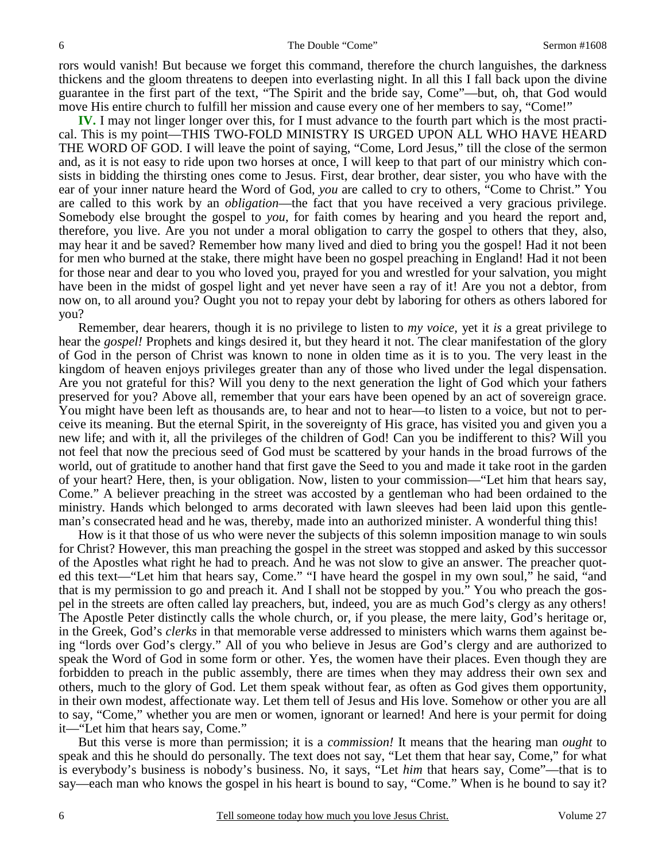rors would vanish! But because we forget this command, therefore the church languishes, the darkness thickens and the gloom threatens to deepen into everlasting night. In all this I fall back upon the divine guarantee in the first part of the text, "The Spirit and the bride say, Come"—but, oh, that God would move His entire church to fulfill her mission and cause every one of her members to say, "Come!"

**IV.** I may not linger longer over this, for I must advance to the fourth part which is the most practical. This is my point—THIS TWO-FOLD MINISTRY IS URGED UPON ALL WHO HAVE HEARD THE WORD OF GOD. I will leave the point of saying, "Come, Lord Jesus," till the close of the sermon and, as it is not easy to ride upon two horses at once, I will keep to that part of our ministry which consists in bidding the thirsting ones come to Jesus. First, dear brother, dear sister, you who have with the ear of your inner nature heard the Word of God, *you* are called to cry to others, "Come to Christ." You are called to this work by an *obligation*—the fact that you have received a very gracious privilege. Somebody else brought the gospel to *you,* for faith comes by hearing and you heard the report and, therefore, you live. Are you not under a moral obligation to carry the gospel to others that they, also, may hear it and be saved? Remember how many lived and died to bring you the gospel! Had it not been for men who burned at the stake, there might have been no gospel preaching in England! Had it not been for those near and dear to you who loved you, prayed for you and wrestled for your salvation, you might have been in the midst of gospel light and yet never have seen a ray of it! Are you not a debtor, from now on, to all around you? Ought you not to repay your debt by laboring for others as others labored for you?

 Remember, dear hearers, though it is no privilege to listen to *my voice,* yet it *is* a great privilege to hear the *gospel!* Prophets and kings desired it, but they heard it not. The clear manifestation of the glory of God in the person of Christ was known to none in olden time as it is to you. The very least in the kingdom of heaven enjoys privileges greater than any of those who lived under the legal dispensation. Are you not grateful for this? Will you deny to the next generation the light of God which your fathers preserved for you? Above all, remember that your ears have been opened by an act of sovereign grace. You might have been left as thousands are, to hear and not to hear—to listen to a voice, but not to perceive its meaning. But the eternal Spirit, in the sovereignty of His grace, has visited you and given you a new life; and with it, all the privileges of the children of God! Can you be indifferent to this? Will you not feel that now the precious seed of God must be scattered by your hands in the broad furrows of the world, out of gratitude to another hand that first gave the Seed to you and made it take root in the garden of your heart? Here, then, is your obligation. Now, listen to your commission—"Let him that hears say, Come." A believer preaching in the street was accosted by a gentleman who had been ordained to the ministry. Hands which belonged to arms decorated with lawn sleeves had been laid upon this gentleman's consecrated head and he was, thereby, made into an authorized minister. A wonderful thing this!

 How is it that those of us who were never the subjects of this solemn imposition manage to win souls for Christ? However, this man preaching the gospel in the street was stopped and asked by this successor of the Apostles what right he had to preach. And he was not slow to give an answer. The preacher quoted this text—"Let him that hears say, Come." "I have heard the gospel in my own soul," he said, "and that is my permission to go and preach it. And I shall not be stopped by you." You who preach the gospel in the streets are often called lay preachers, but, indeed, you are as much God's clergy as any others! The Apostle Peter distinctly calls the whole church, or, if you please, the mere laity, God's heritage or, in the Greek, God's *clerks* in that memorable verse addressed to ministers which warns them against being "lords over God's clergy." All of you who believe in Jesus are God's clergy and are authorized to speak the Word of God in some form or other. Yes, the women have their places. Even though they are forbidden to preach in the public assembly, there are times when they may address their own sex and others, much to the glory of God. Let them speak without fear, as often as God gives them opportunity, in their own modest, affectionate way. Let them tell of Jesus and His love. Somehow or other you are all to say, "Come," whether you are men or women, ignorant or learned! And here is your permit for doing it—"Let him that hears say, Come."

 But this verse is more than permission; it is a *commission!* It means that the hearing man *ought* to speak and this he should do personally. The text does not say, "Let them that hear say, Come," for what is everybody's business is nobody's business. No, it says, "Let *him* that hears say, Come"—that is to say—each man who knows the gospel in his heart is bound to say, "Come." When is he bound to say it?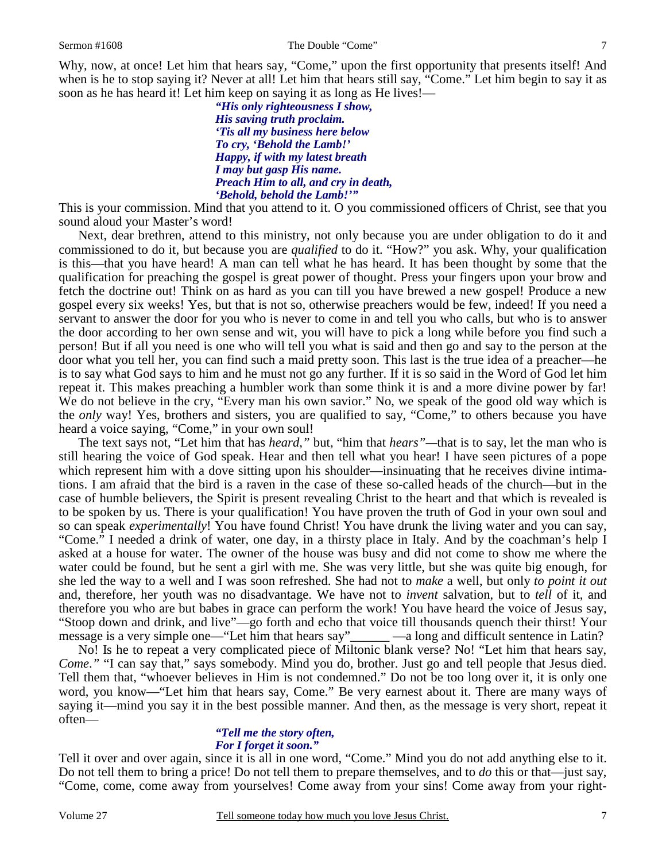Why, now, at once! Let him that hears say, "Come," upon the first opportunity that presents itself! And when is he to stop saying it? Never at all! Let him that hears still say, "Come." Let him begin to say it as soon as he has heard it! Let him keep on saying it as long as He lives!—

> *"His only righteousness I show, His saving truth proclaim. 'Tis all my business here below To cry, 'Behold the Lamb!' Happy, if with my latest breath I may but gasp His name. Preach Him to all, and cry in death, 'Behold, behold the Lamb!'"*

This is your commission. Mind that you attend to it. O you commissioned officers of Christ, see that you sound aloud your Master's word!

 Next, dear brethren, attend to this ministry, not only because you are under obligation to do it and commissioned to do it, but because you are *qualified* to do it. "How?" you ask. Why, your qualification is this—that you have heard! A man can tell what he has heard. It has been thought by some that the qualification for preaching the gospel is great power of thought. Press your fingers upon your brow and fetch the doctrine out! Think on as hard as you can till you have brewed a new gospel! Produce a new gospel every six weeks! Yes, but that is not so, otherwise preachers would be few, indeed! If you need a servant to answer the door for you who is never to come in and tell you who calls, but who is to answer the door according to her own sense and wit, you will have to pick a long while before you find such a person! But if all you need is one who will tell you what is said and then go and say to the person at the door what you tell her, you can find such a maid pretty soon. This last is the true idea of a preacher—he is to say what God says to him and he must not go any further. If it is so said in the Word of God let him repeat it. This makes preaching a humbler work than some think it is and a more divine power by far! We do not believe in the cry, "Every man his own savior." No, we speak of the good old way which is the *only* way! Yes, brothers and sisters, you are qualified to say, "Come," to others because you have heard a voice saying, "Come," in your own soul!

 The text says not, "Let him that has *heard,"* but, "him that *hears"—*that is to say, let the man who is still hearing the voice of God speak. Hear and then tell what you hear! I have seen pictures of a pope which represent him with a dove sitting upon his shoulder—insinuating that he receives divine intimations. I am afraid that the bird is a raven in the case of these so-called heads of the church—but in the case of humble believers, the Spirit is present revealing Christ to the heart and that which is revealed is to be spoken by us. There is your qualification! You have proven the truth of God in your own soul and so can speak *experimentally*! You have found Christ! You have drunk the living water and you can say, "Come." I needed a drink of water, one day, in a thirsty place in Italy. And by the coachman's help I asked at a house for water. The owner of the house was busy and did not come to show me where the water could be found, but he sent a girl with me. She was very little, but she was quite big enough, for she led the way to a well and I was soon refreshed. She had not to *make* a well, but only *to point it out* and, therefore, her youth was no disadvantage. We have not to *invent* salvation, but to *tell* of it, and therefore you who are but babes in grace can perform the work! You have heard the voice of Jesus say, "Stoop down and drink, and live"—go forth and echo that voice till thousands quench their thirst! Your message is a very simple one—"Let him that hears say"\_\_\_\_\_\_ —a long and difficult sentence in Latin?

 No! Is he to repeat a very complicated piece of Miltonic blank verse? No! "Let him that hears say, *Come.*" "I can say that," says somebody. Mind you do, brother. Just go and tell people that Jesus died. Tell them that, "whoever believes in Him is not condemned." Do not be too long over it, it is only one word, you know—"Let him that hears say, Come." Be very earnest about it. There are many ways of saying it—mind you say it in the best possible manner. And then, as the message is very short, repeat it often—

#### *"Tell me the story often, For I forget it soon."*

Tell it over and over again, since it is all in one word, "Come." Mind you do not add anything else to it. Do not tell them to bring a price! Do not tell them to prepare themselves, and to *do* this or that—just say, "Come, come, come away from yourselves! Come away from your sins! Come away from your right